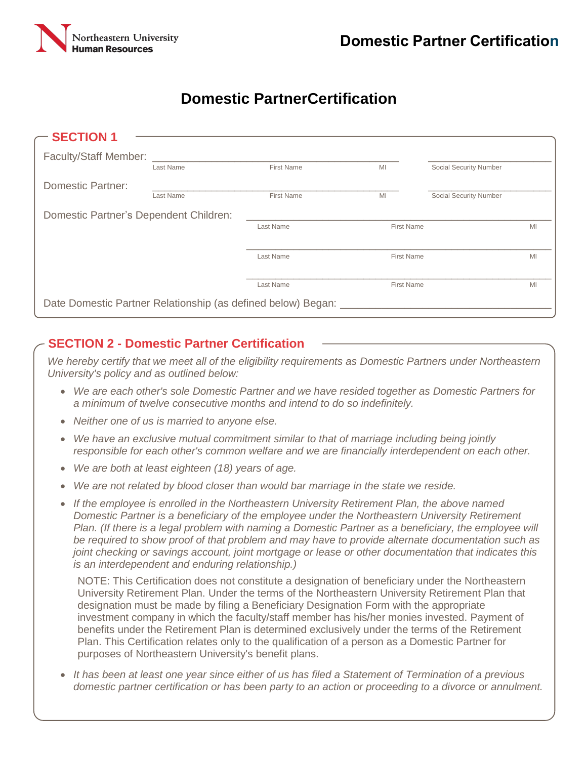

# **Domestic PartnerCertification**

| <b>SECTION 1</b>                                               |           |                   |                   |                        |    |
|----------------------------------------------------------------|-----------|-------------------|-------------------|------------------------|----|
| <b>Faculty/Staff Member:</b>                                   |           |                   |                   |                        |    |
|                                                                | Last Name | <b>First Name</b> | MI                | Social Security Number |    |
| Domestic Partner:                                              |           |                   |                   |                        |    |
|                                                                | Last Name | <b>First Name</b> | MI                | Social Security Number |    |
| Domestic Partner's Dependent Children:                         |           |                   |                   |                        |    |
|                                                                |           | Last Name         | <b>First Name</b> |                        | MI |
|                                                                |           |                   |                   |                        |    |
|                                                                |           | Last Name         | <b>First Name</b> |                        | MI |
|                                                                |           |                   |                   |                        |    |
|                                                                |           | Last Name         | <b>First Name</b> |                        | MI |
| Date Domestic Partner Relationship (as defined below) Began: _ |           |                   |                   |                        |    |

### **SECTION 2 - Domestic Partner Certification**

*We hereby certify that we meet all of the eligibility requirements as Domestic Partners under Northeastern University's policy and as outlined below:* 

- *We are each other's sole Domestic Partner and we have resided together as Domestic Partners for a minimum of twelve consecutive months and intend to do so indefinitely.*
- *Neither one of us is married to anyone else.*
- *We have an exclusive mutual commitment similar to that of marriage including being jointly responsible for each other's common welfare and we are financially interdependent on each other.*
- *We are both at least eighteen (18) years of age.*
- *We are not related by blood closer than would bar marriage in the state we reside.*
- *If the employee is enrolled in the Northeastern University Retirement Plan, the above named Domestic Partner is a beneficiary of the employee under the Northeastern University Retirement Plan. (If there is a legal problem with naming a Domestic Partner as a beneficiary, the employee will be required to show proof of that problem and may have to provide alternate documentation such as joint checking or savings account, joint mortgage or lease or other documentation that indicates this is an interdependent and enduring relationship.)*

NOTE: This Certification does not constitute a designation of beneficiary under the Northeastern University Retirement Plan. Under the terms of the Northeastern University Retirement Plan that designation must be made by filing a Beneficiary Designation Form with the appropriate investment company in which the faculty/staff member has his/her monies invested. Payment of benefits under the Retirement Plan is determined exclusively under the terms of the Retirement Plan. This Certification relates only to the qualification of a person as a Domestic Partner for purposes of Northeastern University's benefit plans.

 *It has been at least one year since either of us has filed a Statement of Termination of a previous domestic partner certification or has been party to an action or proceeding to a divorce or annulment.*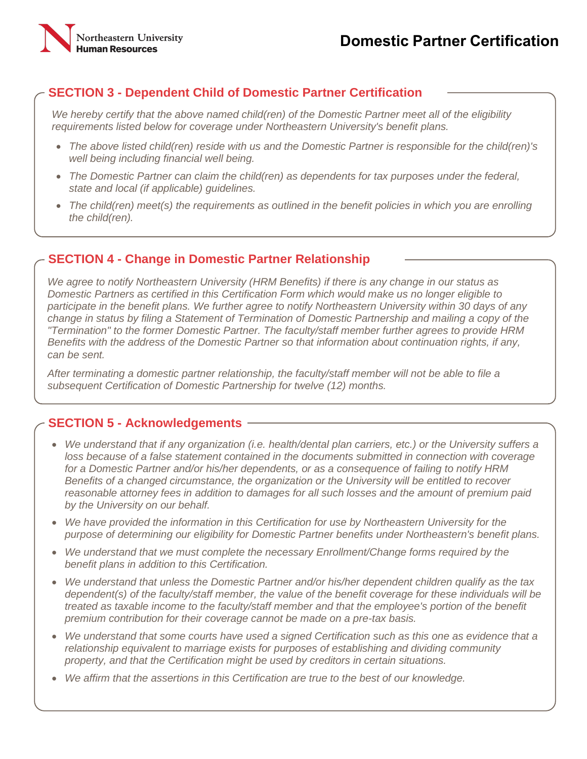## **SECTION 3 - Dependent Child of Domestic Partner Certification**

*We hereby certify that the above named child(ren) of the Domestic Partner meet all of the eligibility requirements listed below for coverage under Northeastern University's benefit plans.* 

- *The above listed child(ren) reside with us and the Domestic Partner is responsible for the child(ren)'s well being including financial well being.*
- *The Domestic Partner can claim the child(ren) as dependents for tax purposes under the federal, state and local (if applicable) guidelines.*
- *The child(ren) meet(s) the requirements as outlined in the benefit policies in which you are enrolling the child(ren).*

#### **SECTION 4 - Change in Domestic Partner Relationship**

*We agree to notify Northeastern University (HRM Benefits) if there is any change in our status as Domestic Partners as certified in this Certification Form which would make us no longer eligible to participate in the benefit plans. We further agree to notify Northeastern University within 30 days of any change in status by filing a Statement of Termination of Domestic Partnership and mailing a copy of the "Termination" to the former Domestic Partner. The faculty/staff member further agrees to provide HRM Benefits with the address of the Domestic Partner so that information about continuation rights, if any, can be sent.*

*After terminating a domestic partner relationship, the faculty/staff member will not be able to file a subsequent Certification of Domestic Partnership for twelve (12) months.* 

#### **SECTION 5 - Acknowledgements**

- *We understand that if any organization (i.e. health/dental plan carriers, etc.) or the University suffers a loss because of a false statement contained in the documents submitted in connection with coverage for a Domestic Partner and/or his/her dependents, or as a consequence of failing to notify HRM Benefits of a changed circumstance, the organization or the University will be entitled to recover reasonable attorney fees in addition to damages for all such losses and the amount of premium paid by the University on our behalf.*
- *We have provided the information in this Certification for use by Northeastern University for the purpose of determining our eligibility for Domestic Partner benefits under Northeastern's benefit plans.*
- *We understand that we must complete the necessary Enrollment/Change forms required by the benefit plans in addition to this Certification.*
- *We understand that unless the Domestic Partner and/or his/her dependent children qualify as the tax dependent(s) of the faculty/staff member, the value of the benefit coverage for these individuals will be treated as taxable income to the faculty/staff member and that the employee's portion of the benefit premium contribution for their coverage cannot be made on a pre-tax basis.*
- *We understand that some courts have used a signed Certification such as this one as evidence that a relationship equivalent to marriage exists for purposes of establishing and dividing community property, and that the Certification might be used by creditors in certain situations.*
- *We affirm that the assertions in this Certification are true to the best of our knowledge.*